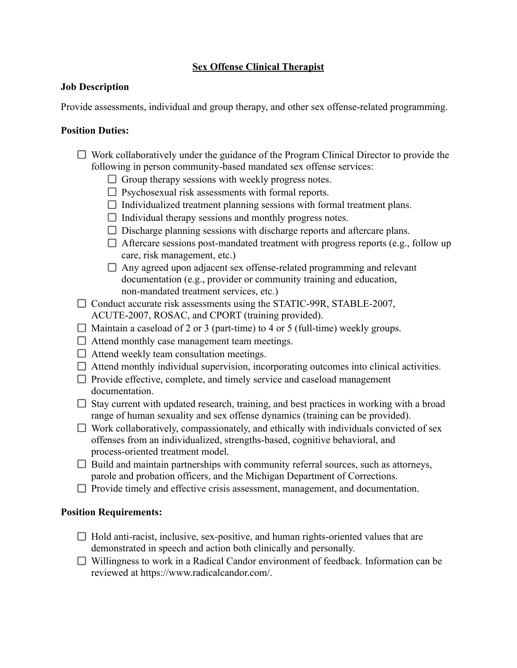## **Sex Offense Clinical Therapist**

## **Job Description**

Provide assessments, individual and group therapy, and other sex offense-related programming.

## **Position Duties:**

- $\Box$  Work collaboratively under the guidance of the Program Clinical Director to provide the following in person community-based mandated sex offense services:
	- $\Box$  Group therapy sessions with weekly progress notes.
	- $\Box$  Psychosexual risk assessments with formal reports.
	- $\Box$  Individualized treatment planning sessions with formal treatment plans.
	- $\Box$  Individual therapy sessions and monthly progress notes.
	- $\Box$  Discharge planning sessions with discharge reports and aftercare plans.
	- $\Box$  Aftercare sessions post-mandated treatment with progress reports (e.g., follow up care, risk management, etc.)
	- $\Box$  Any agreed upon adjacent sex offense-related programming and relevant documentation (e.g., provider or community training and education, non-mandated treatment services, etc.)
- $\Box$  Conduct accurate risk assessments using the STATIC-99R, STABLE-2007, ACUTE-2007, ROSAC, and CPORT (training provided).
- $\Box$  Maintain a caseload of 2 or 3 (part-time) to 4 or 5 (full-time) weekly groups.
- $\Box$  Attend monthly case management team meetings.
- $\Box$  Attend weekly team consultation meetings.
- $\Box$  Attend monthly individual supervision, incorporating outcomes into clinical activities.
- $\Box$  Provide effective, complete, and timely service and caseload management documentation.
- $\Box$  Stay current with updated research, training, and best practices in working with a broad range of human sexuality and sex offense dynamics (training can be provided).
- $\Box$  Work collaboratively, compassionately, and ethically with individuals convicted of sex offenses from an individualized, strengths-based, cognitive behavioral, and process-oriented treatment model.
- $\Box$  Build and maintain partnerships with community referral sources, such as attorneys, parole and probation officers, and the Michigan Department of Corrections.
- $\Box$  Provide timely and effective crisis assessment, management, and documentation.

## **Position Requirements:**

- $\Box$  Hold anti-racist, inclusive, sex-positive, and human rights-oriented values that are demonstrated in speech and action both clinically and personally.
- $\Box$  Willingness to work in a Radical Candor environment of feedback. Information can be reviewed at https://www.radicalcandor.com/.